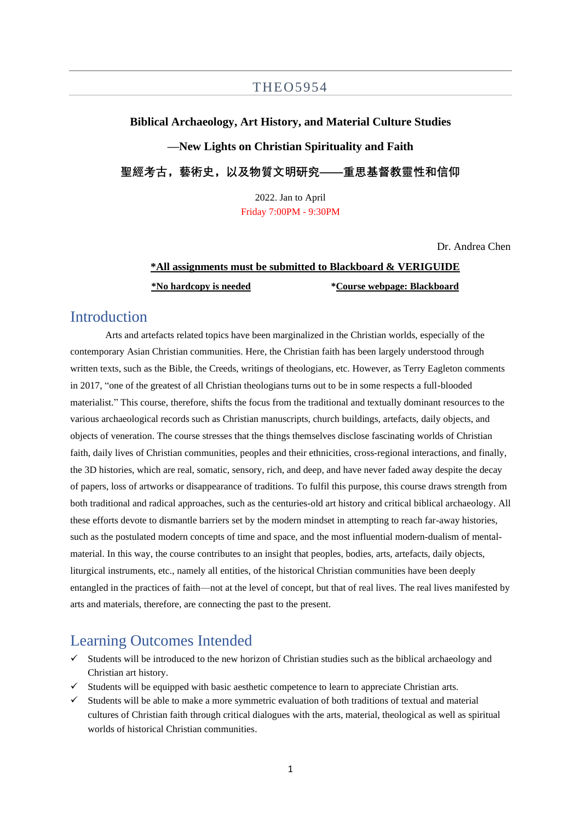### THEO5954

### **Biblical Archaeology, Art History, and Material Culture Studies**

**—New Lights on Christian Spirituality and Faith**

**聖經考古,藝術史,以及物質文明研究——重思基督教靈性和信仰**

2022. Jan to April Friday 7:00PM - 9:30PM

Dr. Andrea Chen

# **\*All assignments must be submitted to Blackboard & VERIGUIDE \*No hardcopy is needed \*Course webpage: Blackboard**

## Introduction

Arts and artefacts related topics have been marginalized in the Christian worlds, especially of the contemporary Asian Christian communities. Here, the Christian faith has been largely understood through written texts, such as the Bible, the Creeds, writings of theologians, etc. However, as Terry Eagleton comments in 2017, "one of the greatest of all Christian theologians turns out to be in some respects a full-blooded materialist." This course, therefore, shifts the focus from the traditional and textually dominant resources to the various archaeological records such as Christian manuscripts, church buildings, artefacts, daily objects, and objects of veneration. The course stresses that the things themselves disclose fascinating worlds of Christian faith, daily lives of Christian communities, peoples and their ethnicities, cross-regional interactions, and finally, the 3D histories, which are real, somatic, sensory, rich, and deep, and have never faded away despite the decay of papers, loss of artworks or disappearance of traditions. To fulfil this purpose, this course draws strength from both traditional and radical approaches, such as the centuries-old art history and critical biblical archaeology. All these efforts devote to dismantle barriers set by the modern mindset in attempting to reach far-away histories, such as the postulated modern concepts of time and space, and the most influential modern-dualism of mentalmaterial. In this way, the course contributes to an insight that peoples, bodies, arts, artefacts, daily objects, liturgical instruments, etc., namely all entities, of the historical Christian communities have been deeply entangled in the practices of faith—not at the level of concept, but that of real lives. The real lives manifested by arts and materials, therefore, are connecting the past to the present.

### Learning Outcomes Intended

- Students will be introduced to the new horizon of Christian studies such as the biblical archaeology and Christian art history.
- $\checkmark$  Students will be equipped with basic aesthetic competence to learn to appreciate Christian arts.
- ✓ Students will be able to make a more symmetric evaluation of both traditions of textual and material cultures of Christian faith through critical dialogues with the arts, material, theological as well as spiritual worlds of historical Christian communities.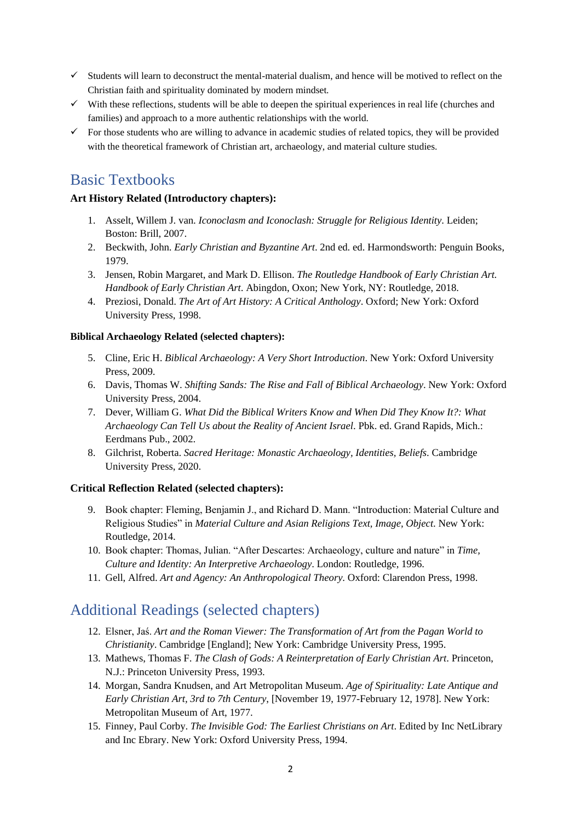- $\checkmark$  Students will learn to deconstruct the mental-material dualism, and hence will be motived to reflect on the Christian faith and spirituality dominated by modern mindset.
- $\checkmark$  With these reflections, students will be able to deepen the spiritual experiences in real life (churches and families) and approach to a more authentic relationships with the world.
- $\checkmark$  For those students who are willing to advance in academic studies of related topics, they will be provided with the theoretical framework of Christian art, archaeology, and material culture studies.

## Basic Textbooks

### **Art History Related (Introductory chapters):**

- 1. Asselt, Willem J. van. *Iconoclasm and Iconoclash: Struggle for Religious Identity*. Leiden; Boston: Brill, 2007.
- 2. Beckwith, John. *Early Christian and Byzantine Art*. 2nd ed. ed. Harmondsworth: Penguin Books, 1979.
- 3. Jensen, Robin Margaret, and Mark D. Ellison. *The Routledge Handbook of Early Christian Art. Handbook of Early Christian Art*. Abingdon, Oxon; New York, NY: Routledge, 2018.
- 4. Preziosi, Donald. *The Art of Art History: A Critical Anthology*. Oxford; New York: Oxford University Press, 1998.

### **Biblical Archaeology Related (selected chapters):**

- 5. Cline, Eric H. *Biblical Archaeology: A Very Short Introduction*. New York: Oxford University Press, 2009.
- 6. Davis, Thomas W. *Shifting Sands: The Rise and Fall of Biblical Archaeology*. New York: Oxford University Press, 2004.
- 7. Dever, William G. *What Did the Biblical Writers Know and When Did They Know It?: What Archaeology Can Tell Us about the Reality of Ancient Israel*. Pbk. ed. Grand Rapids, Mich.: Eerdmans Pub., 2002.
- 8. Gilchrist, Roberta. *Sacred Heritage: Monastic Archaeology, Identities, Beliefs*. Cambridge University Press, 2020.

### **Critical Reflection Related (selected chapters):**

- 9. Book chapter: Fleming, Benjamin J., and Richard D. Mann. "Introduction: Material Culture and Religious Studies" in *Material Culture and Asian Religions Text, Image, Object*. New York: Routledge, 2014.
- 10. Book chapter: Thomas, Julian. "After Descartes: Archaeology, culture and nature" in *Time, Culture and Identity: An Interpretive Archaeology*. London: Routledge, 1996.
- 11. Gell, Alfred. *Art and Agency: An Anthropological Theory*. Oxford: Clarendon Press, 1998.

## Additional Readings (selected chapters)

- 12. Elsner, Jaś. *Art and the Roman Viewer: The Transformation of Art from the Pagan World to Christianity*. Cambridge [England]; New York: Cambridge University Press, 1995.
- 13. Mathews, Thomas F. *The Clash of Gods: A Reinterpretation of Early Christian Art*. Princeton, N.J.: Princeton University Press, 1993.
- 14. Morgan, Sandra Knudsen, and Art Metropolitan Museum. *Age of Spirituality: Late Antique and Early Christian Art, 3rd to 7th Century*, [November 19, 1977-February 12, 1978]. New York: Metropolitan Museum of Art, 1977.
- 15. Finney, Paul Corby. *The Invisible God: The Earliest Christians on Art*. Edited by Inc NetLibrary and Inc Ebrary. New York: Oxford University Press, 1994.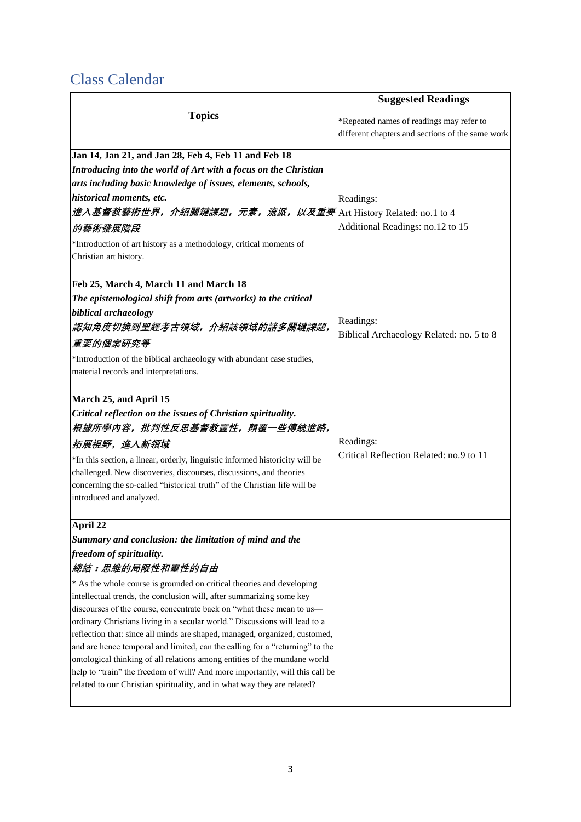# Class Calendar

|                                                                                                                                                          | <b>Suggested Readings</b>                        |  |
|----------------------------------------------------------------------------------------------------------------------------------------------------------|--------------------------------------------------|--|
| <b>Topics</b>                                                                                                                                            | *Repeated names of readings may refer to         |  |
|                                                                                                                                                          | different chapters and sections of the same work |  |
|                                                                                                                                                          |                                                  |  |
| Jan 14, Jan 21, and Jan 28, Feb 4, Feb 11 and Feb 18                                                                                                     |                                                  |  |
| Introducing into the world of Art with a focus on the Christian                                                                                          |                                                  |  |
| arts including basic knowledge of issues, elements, schools,                                                                                             |                                                  |  |
| historical moments, etc.                                                                                                                                 | Readings:                                        |  |
| 進入基督教藝術世界, 介紹關鍵課題, 元素, 流派, 以及重要 Art History Related: no.1 to 4                                                                                           |                                                  |  |
| 的藝術發展階段                                                                                                                                                  | Additional Readings: no.12 to 15                 |  |
| *Introduction of art history as a methodology, critical moments of                                                                                       |                                                  |  |
| Christian art history.                                                                                                                                   |                                                  |  |
| Feb 25, March 4, March 11 and March 18                                                                                                                   |                                                  |  |
| The epistemological shift from arts (artworks) to the critical                                                                                           |                                                  |  |
| biblical archaeology                                                                                                                                     |                                                  |  |
| 認知角度切換到聖經考古領域,介紹該領域的諸多關鍵課題,                                                                                                                              | Readings:                                        |  |
| 重要的個案研究等                                                                                                                                                 | Biblical Archaeology Related: no. 5 to 8         |  |
| *Introduction of the biblical archaeology with abundant case studies,                                                                                    |                                                  |  |
| material records and interpretations.                                                                                                                    |                                                  |  |
|                                                                                                                                                          |                                                  |  |
| March 25, and April 15                                                                                                                                   |                                                  |  |
| Critical reflection on the issues of Christian spirituality.                                                                                             |                                                  |  |
| 根據所學內容,批判性反思基督教靈性,顛覆一些傳統進路,                                                                                                                              |                                                  |  |
| 拓展視野,進入新領域                                                                                                                                               | Readings:                                        |  |
| *In this section, a linear, orderly, linguistic informed historicity will be                                                                             | Critical Reflection Related: no.9 to 11          |  |
| challenged. New discoveries, discourses, discussions, and theories                                                                                       |                                                  |  |
| concerning the so-called "historical truth" of the Christian life will be                                                                                |                                                  |  |
| introduced and analyzed.                                                                                                                                 |                                                  |  |
| April 22                                                                                                                                                 |                                                  |  |
| Summary and conclusion: the limitation of mind and the                                                                                                   |                                                  |  |
| freedom of spirituality.                                                                                                                                 |                                                  |  |
| 總結:思維的局限性和靈性的自由                                                                                                                                          |                                                  |  |
| * As the whole course is grounded on critical theories and developing                                                                                    |                                                  |  |
| intellectual trends, the conclusion will, after summarizing some key                                                                                     |                                                  |  |
| discourses of the course, concentrate back on "what these mean to us-                                                                                    |                                                  |  |
| ordinary Christians living in a secular world." Discussions will lead to a<br>reflection that: since all minds are shaped, managed, organized, customed, |                                                  |  |
| and are hence temporal and limited, can the calling for a "returning" to the                                                                             |                                                  |  |
| ontological thinking of all relations among entities of the mundane world                                                                                |                                                  |  |
| help to "train" the freedom of will? And more importantly, will this call be                                                                             |                                                  |  |
| related to our Christian spirituality, and in what way they are related?                                                                                 |                                                  |  |
|                                                                                                                                                          |                                                  |  |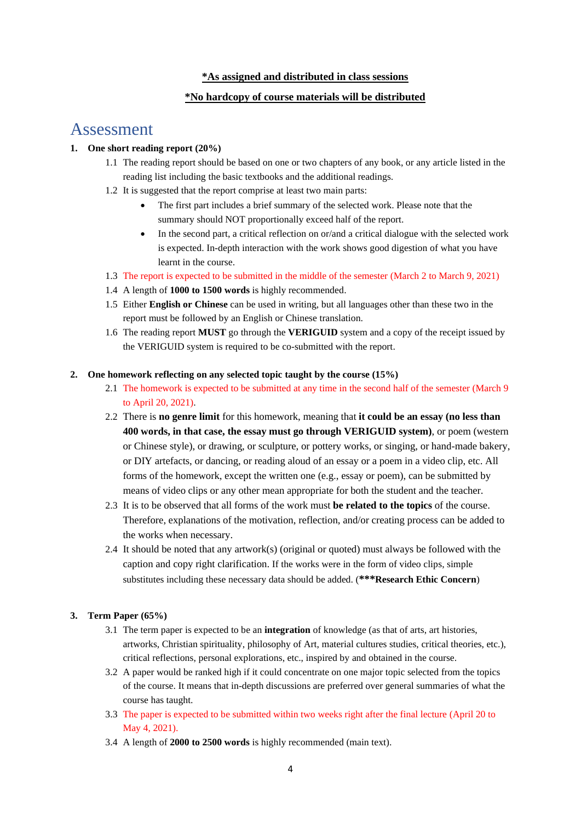#### **\*As assigned and distributed in class sessions**

### **\*No hardcopy of course materials will be distributed**

## Assessment

### **1. One short reading report (20%)**

- 1.1 The reading report should be based on one or two chapters of any book, or any article listed in the reading list including the basic textbooks and the additional readings.
- 1.2 It is suggested that the report comprise at least two main parts:
	- The first part includes a brief summary of the selected work. Please note that the summary should NOT proportionally exceed half of the report.
	- In the second part, a critical reflection on or/and a critical dialogue with the selected work is expected. In-depth interaction with the work shows good digestion of what you have learnt in the course.
- 1.3 The report is expected to be submitted in the middle of the semester (March 2 to March 9, 2021)
- 1.4 A length of **1000 to 1500 words** is highly recommended.
- 1.5 Either **English or Chinese** can be used in writing, but all languages other than these two in the report must be followed by an English or Chinese translation.
- 1.6 The reading report **MUST** go through the **VERIGUID** system and a copy of the receipt issued by the VERIGUID system is required to be co-submitted with the report.

#### **2. One homework reflecting on any selected topic taught by the course (15%)**

- 2.1 The homework is expected to be submitted at any time in the second half of the semester (March 9 to April 20, 2021).
- 2.2 There is **no genre limit** for this homework, meaning that **it could be an essay (no less than 400 words, in that case, the essay must go through VERIGUID system)**, or poem (western or Chinese style), or drawing, or sculpture, or pottery works, or singing, or hand-made bakery, or DIY artefacts, or dancing, or reading aloud of an essay or a poem in a video clip, etc. All forms of the homework, except the written one (e.g., essay or poem), can be submitted by means of video clips or any other mean appropriate for both the student and the teacher.
- 2.3 It is to be observed that all forms of the work must **be related to the topics** of the course. Therefore, explanations of the motivation, reflection, and/or creating process can be added to the works when necessary.
- 2.4 It should be noted that any artwork(s) (original or quoted) must always be followed with the caption and copy right clarification. If the works were in the form of video clips, simple substitutes including these necessary data should be added. (**\*\*\*Research Ethic Concern**)

#### **3. Term Paper (65%)**

- 3.1 The term paper is expected to be an **integration** of knowledge (as that of arts, art histories, artworks, Christian spirituality, philosophy of Art, material cultures studies, critical theories, etc.), critical reflections, personal explorations, etc., inspired by and obtained in the course.
- 3.2 A paper would be ranked high if it could concentrate on one major topic selected from the topics of the course. It means that in-depth discussions are preferred over general summaries of what the course has taught.
- 3.3 The paper is expected to be submitted within two weeks right after the final lecture (April 20 to May 4, 2021).
- 3.4 A length of **2000 to 2500 words** is highly recommended (main text).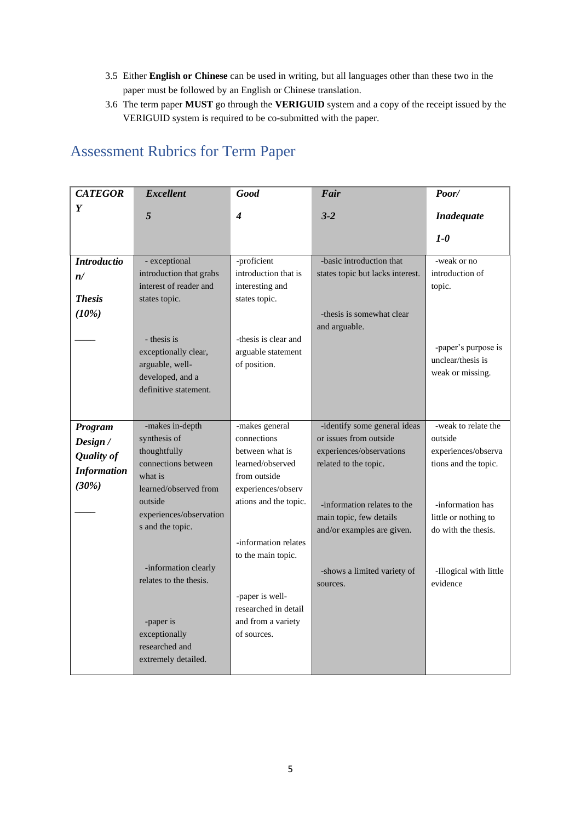- 3.5 Either **English or Chinese** can be used in writing, but all languages other than these two in the paper must be followed by an English or Chinese translation.
- 3.6 The term paper **MUST** go through the **VERIGUID** system and a copy of the receipt issued by the VERIGUID system is required to be co-submitted with the paper.

| <b>CATEGOR</b>     | <b>Excellent</b>        | <b>Good</b>                             | Fair                             | Poor/                                       |
|--------------------|-------------------------|-----------------------------------------|----------------------------------|---------------------------------------------|
| Y                  | 5                       | 4                                       | $3 - 2$                          | <b>Inadequate</b>                           |
|                    |                         |                                         |                                  |                                             |
|                    |                         |                                         |                                  | $1 - \theta$                                |
| <b>Introductio</b> | - exceptional           | -proficient                             | -basic introduction that         | -weak or no                                 |
| n/                 | introduction that grabs | introduction that is                    | states topic but lacks interest. | introduction of                             |
|                    | interest of reader and  | interesting and                         |                                  | topic.                                      |
| <b>Thesis</b>      | states topic.           | states topic.                           |                                  |                                             |
| (10%)              |                         |                                         | -thesis is somewhat clear        |                                             |
|                    |                         |                                         | and arguable.                    |                                             |
|                    | - thesis is             | -thesis is clear and                    |                                  |                                             |
|                    | exceptionally clear,    | arguable statement                      |                                  | -paper's purpose is<br>unclear/thesis is    |
|                    | arguable, well-         | of position.                            |                                  | weak or missing.                            |
|                    | developed, and a        |                                         |                                  |                                             |
|                    | definitive statement.   |                                         |                                  |                                             |
|                    |                         |                                         |                                  |                                             |
|                    | -makes in-depth         | -makes general                          | -identify some general ideas     | -weak to relate the                         |
| Program            | synthesis of            | connections                             | or issues from outside           | outside                                     |
| Design /           | thoughtfully            | between what is                         | experiences/observations         | experiences/observa                         |
| <b>Quality of</b>  | connections between     | learned/observed                        | related to the topic.            | tions and the topic.                        |
| <b>Information</b> | what is                 | from outside                            |                                  |                                             |
| (30%)              | learned/observed from   | experiences/observ                      |                                  |                                             |
|                    | outside                 | ations and the topic.                   |                                  |                                             |
|                    | experiences/observation |                                         | -information relates to the      | -information has                            |
|                    | s and the topic.        |                                         | main topic, few details          | little or nothing to<br>do with the thesis. |
|                    |                         | -information relates                    | and/or examples are given.       |                                             |
|                    |                         | to the main topic.                      |                                  |                                             |
|                    | -information clearly    |                                         |                                  |                                             |
|                    | relates to the thesis.  |                                         | -shows a limited variety of      | -Illogical with little<br>evidence          |
|                    |                         |                                         | sources.                         |                                             |
|                    |                         | -paper is well-<br>researched in detail |                                  |                                             |
|                    | -paper is               | and from a variety                      |                                  |                                             |
|                    | exceptionally           | of sources.                             |                                  |                                             |
|                    | researched and          |                                         |                                  |                                             |
|                    | extremely detailed.     |                                         |                                  |                                             |
|                    |                         |                                         |                                  |                                             |

# Assessment Rubrics for Term Paper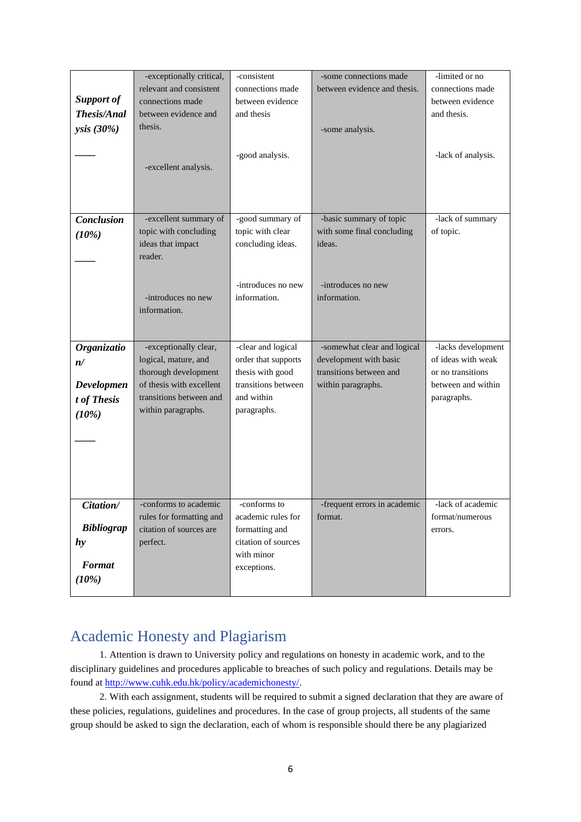|                   | -exceptionally critical,                            | -consistent                           | -some connections made       | -limited or no     |
|-------------------|-----------------------------------------------------|---------------------------------------|------------------------------|--------------------|
|                   | relevant and consistent                             | connections made                      | between evidence and thesis. | connections made   |
| <b>Support of</b> | connections made                                    | between evidence                      |                              | between evidence   |
| Thesis/Anal       | between evidence and                                | and thesis                            |                              | and thesis.        |
| ysis (30%)        | thesis.                                             |                                       | -some analysis.              |                    |
|                   |                                                     |                                       |                              |                    |
|                   |                                                     | -good analysis.                       |                              | -lack of analysis. |
|                   | -excellent analysis.                                |                                       |                              |                    |
|                   |                                                     |                                       |                              |                    |
|                   |                                                     |                                       |                              |                    |
|                   |                                                     |                                       |                              |                    |
| <b>Conclusion</b> | -excellent summary of                               | -good summary of                      | -basic summary of topic      | -lack of summary   |
| (10%)             | topic with concluding                               | topic with clear                      | with some final concluding   | of topic.          |
|                   | ideas that impact                                   | concluding ideas.                     | ideas.                       |                    |
|                   | reader.                                             |                                       |                              |                    |
|                   |                                                     |                                       |                              |                    |
|                   |                                                     | -introduces no new                    | -introduces no new           |                    |
|                   | -introduces no new                                  | information.                          | information.                 |                    |
|                   | information.                                        |                                       |                              |                    |
|                   |                                                     |                                       |                              |                    |
|                   |                                                     |                                       |                              |                    |
| Organizatio       | -exceptionally clear,                               | -clear and logical                    | -somewhat clear and logical  | -lacks development |
| n/                | logical, mature, and                                | order that supports                   | development with basic       | of ideas with weak |
|                   | thorough development                                | thesis with good                      | transitions between and      | or no transitions  |
| Developmen        | of thesis with excellent<br>transitions between and | transitions between<br>and within     | within paragraphs.           | between and within |
| t of Thesis       |                                                     |                                       |                              | paragraphs.        |
| (10%)             | within paragraphs.                                  | paragraphs.                           |                              |                    |
|                   |                                                     |                                       |                              |                    |
|                   |                                                     |                                       |                              |                    |
|                   |                                                     |                                       |                              |                    |
|                   |                                                     |                                       |                              |                    |
|                   |                                                     |                                       |                              |                    |
|                   |                                                     |                                       |                              |                    |
| Citation/         | -conforms to academic                               | -conforms to                          | -frequent errors in academic | -lack of academic  |
| <b>Bibliograp</b> | rules for formatting and<br>citation of sources are | academic rules for                    | format.                      | format/numerous    |
|                   | perfect.                                            | formatting and<br>citation of sources |                              | errors.            |
| hy                |                                                     | with minor                            |                              |                    |
| Format            |                                                     | exceptions.                           |                              |                    |
| (10%)             |                                                     |                                       |                              |                    |
|                   |                                                     |                                       |                              |                    |

# Academic Honesty and Plagiarism

1. Attention is drawn to University policy and regulations on honesty in academic work, and to the disciplinary guidelines and procedures applicable to breaches of such policy and regulations. Details may be found a[t http://www.cuhk.edu.hk/policy/academichonesty/.](http://www.cuhk.edu.hk/policy/academichonesty/)

2. With each assignment, students will be required to submit a signed [declaration](file:///D:/Users/vikki_aqs/AppData/Local/Microsoft/Windows/Temporary%20Internet%20Files/Content.Outlook/Application%20Data/Microsoft/Academic%20Honesty/Eng%20htm%20files%20(2013-14)/p10.htm) that they are aware of these policies, regulations, guidelines and procedures. In the case of group projects, all students of the same group should be asked to sign the declaration, each of whom is responsible should there be any plagiarized